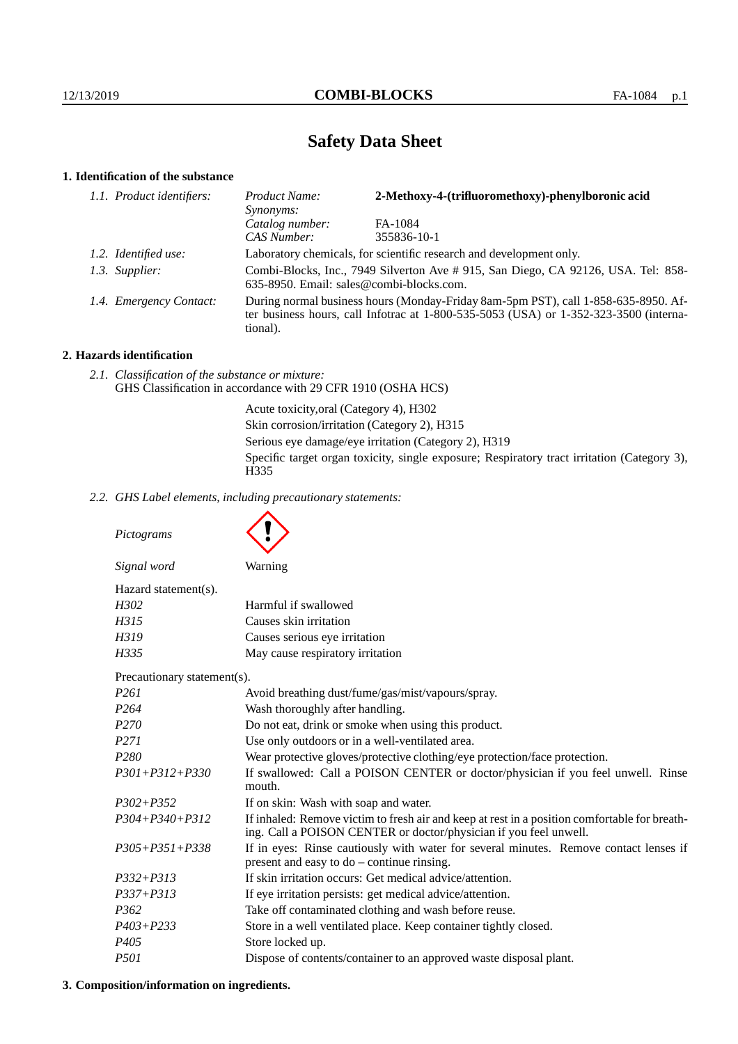# **Safety Data Sheet**

# **1. Identification of the substance**

| 1.1. Product identifiers: | 2-Methoxy-4-(trifluoromethoxy)-phenylboronic acid<br>Product Name:<br>Synonyms:                                                                                                         |             |
|---------------------------|-----------------------------------------------------------------------------------------------------------------------------------------------------------------------------------------|-------------|
|                           | Catalog number:                                                                                                                                                                         | FA-1084     |
|                           | CAS Number:                                                                                                                                                                             | 355836-10-1 |
| 1.2. Identified use:      | Laboratory chemicals, for scientific research and development only.                                                                                                                     |             |
| 1.3. Supplier:            | Combi-Blocks, Inc., 7949 Silverton Ave #915, San Diego, CA 92126, USA. Tel: 858-<br>635-8950. Email: sales@combi-blocks.com.                                                            |             |
| 1.4. Emergency Contact:   | During normal business hours (Monday-Friday 8am-5pm PST), call 1-858-635-8950. Af-<br>ter business hours, call Infotrac at 1-800-535-5053 (USA) or 1-352-323-3500 (interna-<br>tional). |             |

# **2. Hazards identification**

*2.1. Classification of the substance or mixture:* GHS Classification in accordance with 29 CFR 1910 (OSHA HCS)

> Acute toxicity,oral (Category 4), H302 Skin corrosion/irritation (Category 2), H315 Serious eye damage/eye irritation (Category 2), H319 Specific target organ toxicity, single exposure; Respiratory tract irritation (Category 3), H<sub>335</sub>

*2.2. GHS Label elements, including precautionary statements:*

*Pictograms Signal word* Warning Hazard statement(s). *H302* Harmful if swallowed *H315* Causes skin irritation *H319* Causes serious eye irritation *H335* May cause respiratory irritation Precautionary statement(s). *P261* Avoid breathing dust/fume/gas/mist/vapours/spray. *P264* Wash thoroughly after handling. *P270* Do not eat, drink or smoke when using this product. *P271* Use only outdoors or in a well-ventilated area. *P280* Wear protective gloves/protective clothing/eye protection/face protection. *P301+P312+P330* If swallowed: Call a POISON CENTER or doctor/physician if you feel unwell. Rinse mouth. *P302+P352* If on skin: Wash with soap and water. *P304+P340+P312* If inhaled: Remove victim to fresh air and keep at rest in a position comfortable for breathing. Call a POISON CENTER or doctor/physician if you feel unwell. *P305+P351+P338* If in eyes: Rinse cautiously with water for several minutes. Remove contact lenses if present and easy to do – continue rinsing. *P332+P313* If skin irritation occurs: Get medical advice/attention. *P337+P313* If eye irritation persists: get medical advice/attention. *P362* Take off contaminated clothing and wash before reuse. *P403+P233* Store in a well ventilated place. Keep container tightly closed. *P405* Store locked up. *P501* Dispose of contents/container to an approved waste disposal plant.

### **3. Composition/information on ingredients.**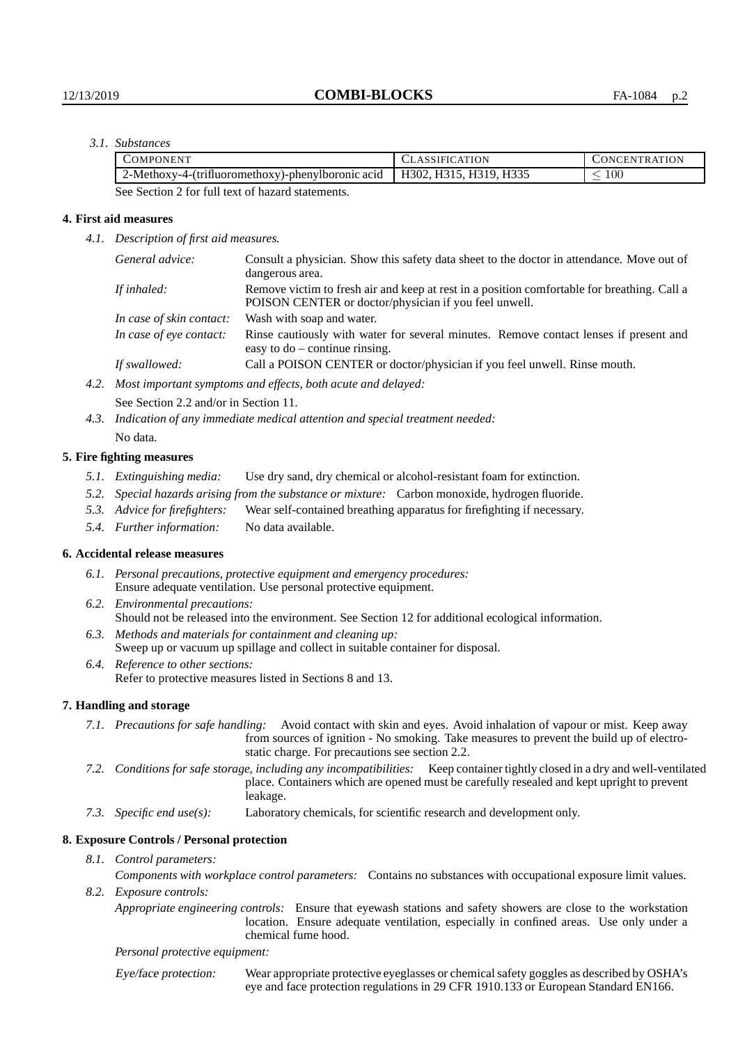## *3.1. Substances*

| 'OMPONENT                                         | CLASSIFICATION         | CONCENTRATION |
|---------------------------------------------------|------------------------|---------------|
| 2-Methoxy-4-(trifluoromethoxy)-phenylboronic acid | H302, H315, H319, H335 | $100\,$       |
| .<br>$\sim$ $\sim$ $\sim$ $\sim$                  |                        |               |

See Section 2 for full text of hazard statements.

## **4. First aid measures**

*4.1. Description of first aid measures.*

|                         | General advice:          | Consult a physician. Show this safety data sheet to the doctor in attendance. Move out of<br>dangerous area.                                         |  |
|-------------------------|--------------------------|------------------------------------------------------------------------------------------------------------------------------------------------------|--|
| If inhaled:             |                          | Remove victim to fresh air and keep at rest in a position comfortable for breathing. Call a<br>POISON CENTER or doctor/physician if you feel unwell. |  |
|                         | In case of skin contact: | Wash with soap and water.                                                                                                                            |  |
| In case of eye contact: |                          | Rinse cautiously with water for several minutes. Remove contact lenses if present and<br>easy to $do$ – continue rinsing.                            |  |
|                         | If swallowed:            | Call a POISON CENTER or doctor/physician if you feel unwell. Rinse mouth.                                                                            |  |
| 4.2.                    |                          | Most important symptoms and effects, both acute and delayed:                                                                                         |  |

See Section 2.2 and/or in Section 11.

*4.3. Indication of any immediate medical attention and special treatment needed:* No data.

#### **5. Fire fighting measures**

- *5.1. Extinguishing media:* Use dry sand, dry chemical or alcohol-resistant foam for extinction.
- *5.2. Special hazards arising from the substance or mixture:* Carbon monoxide, hydrogen fluoride.
- *5.3. Advice for firefighters:* Wear self-contained breathing apparatus for firefighting if necessary.
- *5.4. Further information:* No data available.

### **6. Accidental release measures**

- *6.1. Personal precautions, protective equipment and emergency procedures:* Ensure adequate ventilation. Use personal protective equipment.
- *6.2. Environmental precautions:* Should not be released into the environment. See Section 12 for additional ecological information.
- *6.3. Methods and materials for containment and cleaning up:* Sweep up or vacuum up spillage and collect in suitable container for disposal.
- *6.4. Reference to other sections:* Refer to protective measures listed in Sections 8 and 13.

### **7. Handling and storage**

- *7.1. Precautions for safe handling:* Avoid contact with skin and eyes. Avoid inhalation of vapour or mist. Keep away from sources of ignition - No smoking. Take measures to prevent the build up of electrostatic charge. For precautions see section 2.2.
- *7.2. Conditions for safe storage, including any incompatibilities:* Keep container tightly closed in a dry and well-ventilated place. Containers which are opened must be carefully resealed and kept upright to prevent leakage.
- *7.3. Specific end use(s):* Laboratory chemicals, for scientific research and development only.

### **8. Exposure Controls / Personal protection**

*8.1. Control parameters:*

*Components with workplace control parameters:* Contains no substances with occupational exposure limit values. *8.2. Exposure controls:*

*Appropriate engineering controls:* Ensure that eyewash stations and safety showers are close to the workstation location. Ensure adequate ventilation, especially in confined areas. Use only under a chemical fume hood.

#### *Personal protective equipment:*

Eye/face protection: Wear appropriate protective eyeglasses or chemical safety goggles as described by OSHA's eye and face protection regulations in 29 CFR 1910.133 or European Standard EN166.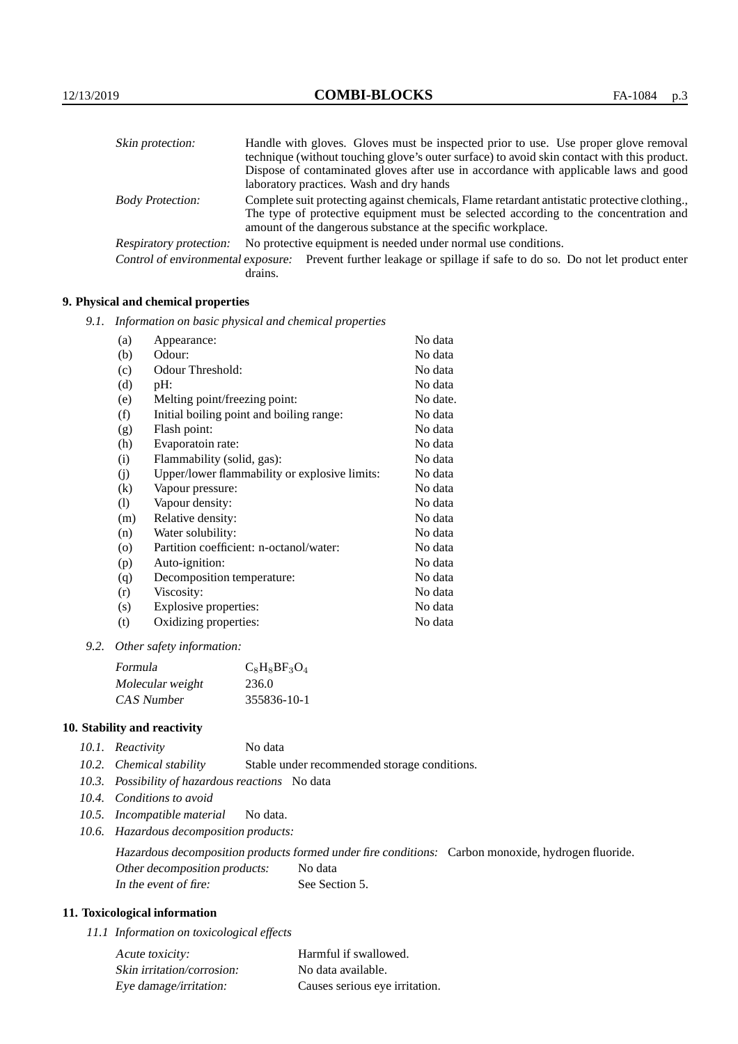| Skin protection:                   | Handle with gloves. Gloves must be inspected prior to use. Use proper glove removal                                                                  |
|------------------------------------|------------------------------------------------------------------------------------------------------------------------------------------------------|
|                                    | technique (without touching glove's outer surface) to avoid skin contact with this product.                                                          |
|                                    | Dispose of contaminated gloves after use in accordance with applicable laws and good                                                                 |
|                                    | laboratory practices. Wash and dry hands                                                                                                             |
| <b>Body Protection:</b>            | Complete suit protecting against chemicals, Flame retardant antistatic protective clothing.                                                          |
|                                    | The type of protective equipment must be selected according to the concentration and<br>amount of the dangerous substance at the specific workplace. |
| <b>Respiratory protection:</b>     | No protective equipment is needed under normal use conditions.                                                                                       |
| Control of environmental exposure: | Prevent further leakage or spillage if safe to do so. Do not let product enter<br>drains.                                                            |

# **9. Physical and chemical properties**

*9.1. Information on basic physical and chemical properties*

| (a)                | Appearance:                                   | No data  |
|--------------------|-----------------------------------------------|----------|
| (b)                | Odour:                                        | No data  |
| (c)                | Odour Threshold:                              | No data  |
| (d)                | pH:                                           | No data  |
| (e)                | Melting point/freezing point:                 | No date. |
| (f)                | Initial boiling point and boiling range:      | No data  |
| (g)                | Flash point:                                  | No data  |
| (h)                | Evaporatoin rate:                             | No data  |
| (i)                | Flammability (solid, gas):                    | No data  |
| (j)                | Upper/lower flammability or explosive limits: | No data  |
| $\rm(k)$           | Vapour pressure:                              | No data  |
| (1)                | Vapour density:                               | No data  |
| (m)                | Relative density:                             | No data  |
| (n)                | Water solubility:                             | No data  |
| $\left( 0 \right)$ | Partition coefficient: n-octanol/water:       | No data  |
| (p)                | Auto-ignition:                                | No data  |
| (q)                | Decomposition temperature:                    | No data  |
| (r)                | Viscosity:                                    | No data  |
| (s)                | Explosive properties:                         | No data  |
| (t)                | Oxidizing properties:                         | No data  |

*9.2. Other safety information:*

| Formula           | $C_8H_8BF_3O_4$ |
|-------------------|-----------------|
| Molecular weight  | 236.0           |
| <b>CAS</b> Number | 355836-10-1     |

# **10. Stability and reactivity**

| 10.1. Reactivity | No data |
|------------------|---------|
|------------------|---------|

- *10.2. Chemical stability* Stable under recommended storage conditions.
- *10.3. Possibility of hazardous reactions* No data
- *10.4. Conditions to avoid*
- *10.5. Incompatible material* No data.
- *10.6. Hazardous decomposition products:*

Hazardous decomposition products formed under fire conditions: Carbon monoxide, hydrogen fluoride. Other decomposition products: No data In the event of fire: See Section 5.

# **11. Toxicological information**

*11.1 Information on toxicological effects*

| Acute toxicity:            | Harmful if swallowed.          |
|----------------------------|--------------------------------|
| Skin irritation/corrosion: | No data available.             |
| Eye damage/irritation:     | Causes serious eye irritation. |